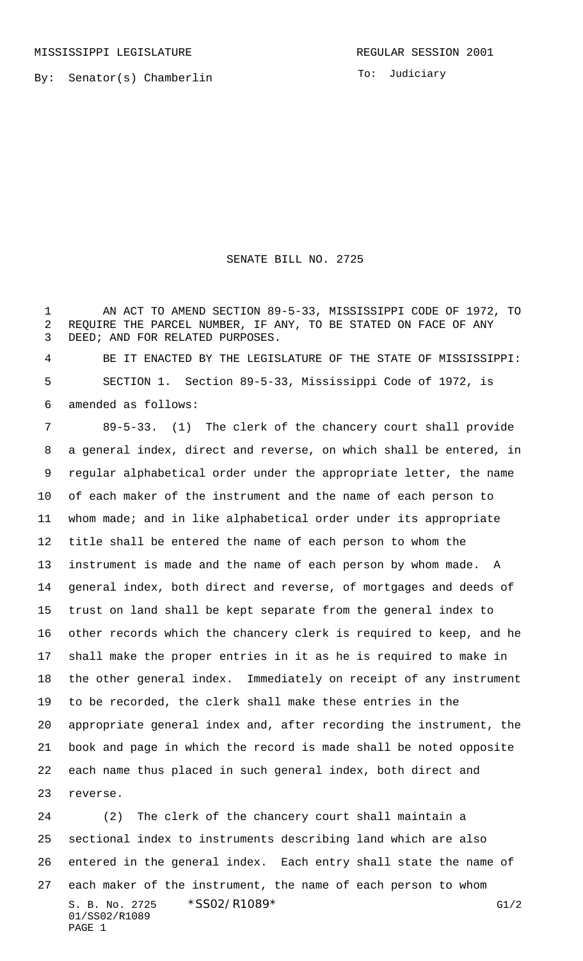To: Judiciary

## SENATE BILL NO. 2725

 AN ACT TO AMEND SECTION 89-5-33, MISSISSIPPI CODE OF 1972, TO REQUIRE THE PARCEL NUMBER, IF ANY, TO BE STATED ON FACE OF ANY DEED; AND FOR RELATED PURPOSES.

 BE IT ENACTED BY THE LEGISLATURE OF THE STATE OF MISSISSIPPI: SECTION 1. Section 89-5-33, Mississippi Code of 1972, is amended as follows:

 89-5-33. (1) The clerk of the chancery court shall provide a general index, direct and reverse, on which shall be entered, in regular alphabetical order under the appropriate letter, the name of each maker of the instrument and the name of each person to whom made; and in like alphabetical order under its appropriate title shall be entered the name of each person to whom the instrument is made and the name of each person by whom made. A general index, both direct and reverse, of mortgages and deeds of trust on land shall be kept separate from the general index to other records which the chancery clerk is required to keep, and he shall make the proper entries in it as he is required to make in the other general index. Immediately on receipt of any instrument to be recorded, the clerk shall make these entries in the appropriate general index and, after recording the instrument, the book and page in which the record is made shall be noted opposite each name thus placed in such general index, both direct and reverse.

S. B. No. 2725 \* SS02/R1089\* G1/2 01/SS02/R1089 PAGE 1 (2) The clerk of the chancery court shall maintain a sectional index to instruments describing land which are also entered in the general index. Each entry shall state the name of each maker of the instrument, the name of each person to whom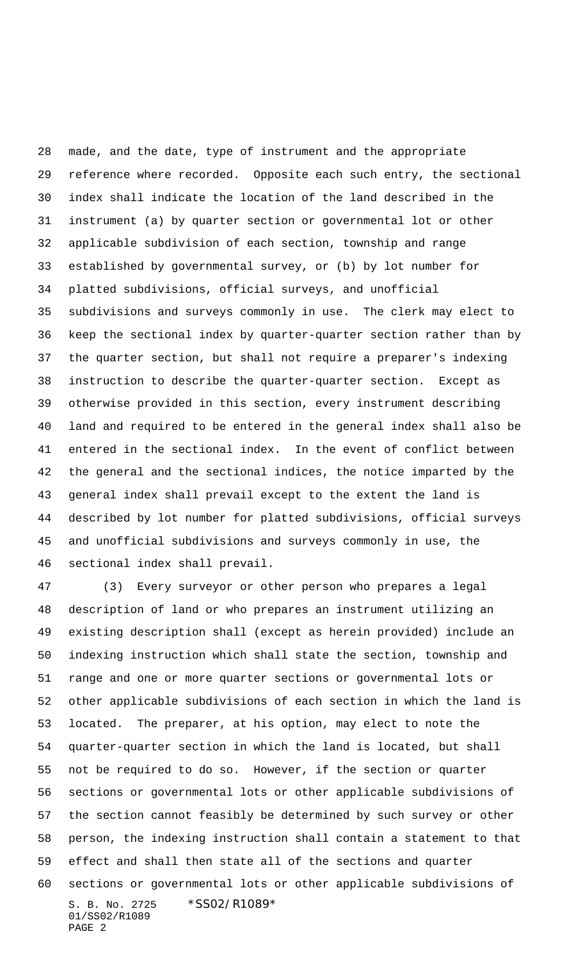made, and the date, type of instrument and the appropriate reference where recorded. Opposite each such entry, the sectional index shall indicate the location of the land described in the instrument (a) by quarter section or governmental lot or other applicable subdivision of each section, township and range established by governmental survey, or (b) by lot number for platted subdivisions, official surveys, and unofficial subdivisions and surveys commonly in use. The clerk may elect to keep the sectional index by quarter-quarter section rather than by the quarter section, but shall not require a preparer's indexing instruction to describe the quarter-quarter section. Except as otherwise provided in this section, every instrument describing land and required to be entered in the general index shall also be entered in the sectional index. In the event of conflict between the general and the sectional indices, the notice imparted by the general index shall prevail except to the extent the land is described by lot number for platted subdivisions, official surveys and unofficial subdivisions and surveys commonly in use, the sectional index shall prevail.

S. B. No. 2725 \*SS02/R1089\* 01/SS02/R1089 PAGE 2 (3) Every surveyor or other person who prepares a legal description of land or who prepares an instrument utilizing an existing description shall (except as herein provided) include an indexing instruction which shall state the section, township and range and one or more quarter sections or governmental lots or other applicable subdivisions of each section in which the land is located. The preparer, at his option, may elect to note the quarter-quarter section in which the land is located, but shall not be required to do so. However, if the section or quarter sections or governmental lots or other applicable subdivisions of the section cannot feasibly be determined by such survey or other person, the indexing instruction shall contain a statement to that effect and shall then state all of the sections and quarter sections or governmental lots or other applicable subdivisions of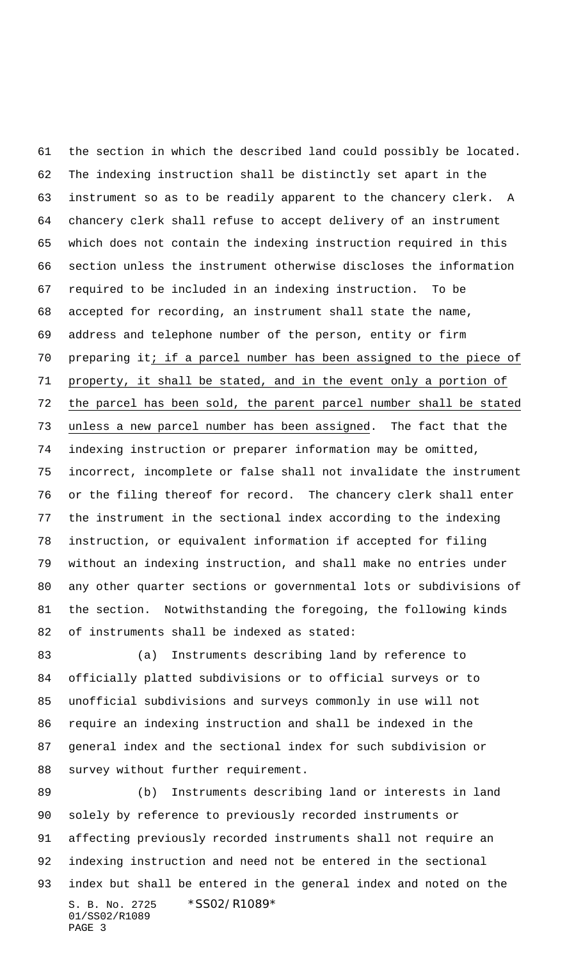the section in which the described land could possibly be located. The indexing instruction shall be distinctly set apart in the instrument so as to be readily apparent to the chancery clerk. A chancery clerk shall refuse to accept delivery of an instrument which does not contain the indexing instruction required in this section unless the instrument otherwise discloses the information required to be included in an indexing instruction. To be accepted for recording, an instrument shall state the name, address and telephone number of the person, entity or firm preparing it; if a parcel number has been assigned to the piece of property, it shall be stated, and in the event only a portion of the parcel has been sold, the parent parcel number shall be stated unless a new parcel number has been assigned. The fact that the indexing instruction or preparer information may be omitted, incorrect, incomplete or false shall not invalidate the instrument or the filing thereof for record. The chancery clerk shall enter the instrument in the sectional index according to the indexing instruction, or equivalent information if accepted for filing without an indexing instruction, and shall make no entries under any other quarter sections or governmental lots or subdivisions of the section. Notwithstanding the foregoing, the following kinds of instruments shall be indexed as stated:

 (a) Instruments describing land by reference to officially platted subdivisions or to official surveys or to unofficial subdivisions and surveys commonly in use will not require an indexing instruction and shall be indexed in the general index and the sectional index for such subdivision or survey without further requirement.

S. B. No. 2725 \*SS02/R1089\* 01/SS02/R1089 PAGE 3 (b) Instruments describing land or interests in land solely by reference to previously recorded instruments or affecting previously recorded instruments shall not require an indexing instruction and need not be entered in the sectional index but shall be entered in the general index and noted on the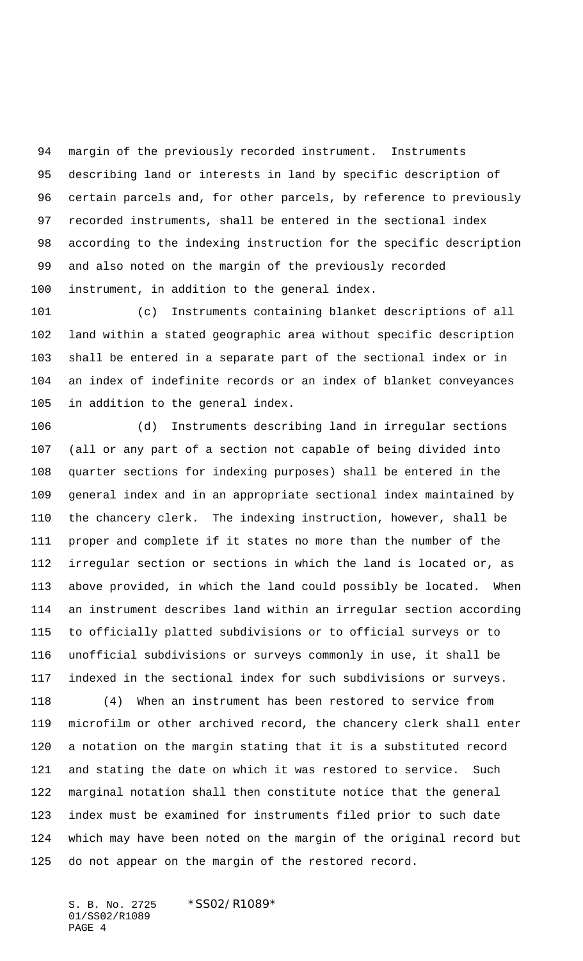margin of the previously recorded instrument. Instruments describing land or interests in land by specific description of certain parcels and, for other parcels, by reference to previously recorded instruments, shall be entered in the sectional index according to the indexing instruction for the specific description and also noted on the margin of the previously recorded instrument, in addition to the general index.

 (c) Instruments containing blanket descriptions of all land within a stated geographic area without specific description shall be entered in a separate part of the sectional index or in an index of indefinite records or an index of blanket conveyances in addition to the general index.

 (d) Instruments describing land in irregular sections (all or any part of a section not capable of being divided into quarter sections for indexing purposes) shall be entered in the general index and in an appropriate sectional index maintained by the chancery clerk. The indexing instruction, however, shall be proper and complete if it states no more than the number of the irregular section or sections in which the land is located or, as above provided, in which the land could possibly be located. When an instrument describes land within an irregular section according to officially platted subdivisions or to official surveys or to unofficial subdivisions or surveys commonly in use, it shall be indexed in the sectional index for such subdivisions or surveys.

 (4) When an instrument has been restored to service from microfilm or other archived record, the chancery clerk shall enter a notation on the margin stating that it is a substituted record and stating the date on which it was restored to service. Such marginal notation shall then constitute notice that the general index must be examined for instruments filed prior to such date which may have been noted on the margin of the original record but do not appear on the margin of the restored record.

S. B. No. 2725 \*SS02/R1089\* 01/SS02/R1089 PAGE 4